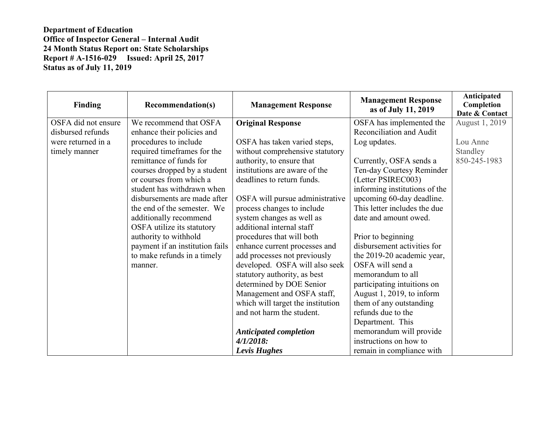| <b>Finding</b>      | <b>Recommendation(s)</b>        | <b>Management Response</b>        | <b>Management Response</b><br>as of July 11, 2019 | Anticipated<br>Completion<br>Date & Contact |
|---------------------|---------------------------------|-----------------------------------|---------------------------------------------------|---------------------------------------------|
| OSFA did not ensure | We recommend that OSFA          | <b>Original Response</b>          | OSFA has implemented the                          | August 1, 2019                              |
| disbursed refunds   | enhance their policies and      |                                   | Reconciliation and Audit                          |                                             |
| were returned in a  | procedures to include           | OSFA has taken varied steps,      | Log updates.                                      | Lou Anne                                    |
| timely manner       | required timeframes for the     | without comprehensive statutory   |                                                   | Standley                                    |
|                     | remittance of funds for         | authority, to ensure that         | Currently, OSFA sends a                           | 850-245-1983                                |
|                     | courses dropped by a student    | institutions are aware of the     | Ten-day Courtesy Reminder                         |                                             |
|                     | or courses from which a         | deadlines to return funds.        | (Letter PSIREC003)                                |                                             |
|                     | student has withdrawn when      |                                   | informing institutions of the                     |                                             |
|                     | disbursements are made after    | OSFA will pursue administrative   | upcoming 60-day deadline.                         |                                             |
|                     | the end of the semester. We     | process changes to include        | This letter includes the due                      |                                             |
|                     | additionally recommend          | system changes as well as         | date and amount owed.                             |                                             |
|                     | OSFA utilize its statutory      | additional internal staff         |                                                   |                                             |
|                     | authority to withhold           | procedures that will both         | Prior to beginning                                |                                             |
|                     | payment if an institution fails | enhance current processes and     | disbursement activities for                       |                                             |
|                     | to make refunds in a timely     | add processes not previously      | the 2019-20 academic year,                        |                                             |
|                     | manner.                         | developed. OSFA will also seek    | OSFA will send a                                  |                                             |
|                     |                                 | statutory authority, as best      | memorandum to all                                 |                                             |
|                     |                                 | determined by DOE Senior          | participating intuitions on                       |                                             |
|                     |                                 | Management and OSFA staff,        | August 1, 2019, to inform                         |                                             |
|                     |                                 | which will target the institution | them of any outstanding                           |                                             |
|                     |                                 | and not harm the student.         | refunds due to the                                |                                             |
|                     |                                 |                                   | Department. This                                  |                                             |
|                     |                                 | <b>Anticipated completion</b>     | memorandum will provide                           |                                             |
|                     |                                 | $4/1/2018$ :                      | instructions on how to                            |                                             |
|                     |                                 | Levis Hughes                      | remain in compliance with                         |                                             |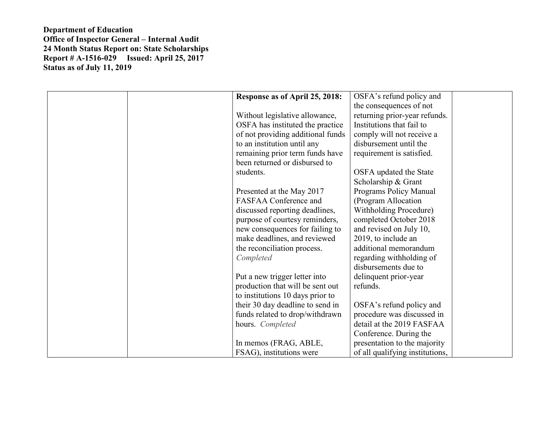| Response as of April 25, 2018:    | OSFA's refund policy and        |
|-----------------------------------|---------------------------------|
|                                   | the consequences of not         |
| Without legislative allowance,    | returning prior-year refunds.   |
| OSFA has instituted the practice  | Institutions that fail to       |
| of not providing additional funds | comply will not receive a       |
| to an institution until any       | disbursement until the          |
| remaining prior term funds have   | requirement is satisfied.       |
| been returned or disbursed to     |                                 |
| students.                         | OSFA updated the State          |
|                                   | Scholarship & Grant             |
| Presented at the May 2017         | Programs Policy Manual          |
| <b>FASFAA Conference and</b>      | (Program Allocation             |
| discussed reporting deadlines,    | <b>Withholding Procedure)</b>   |
| purpose of courtesy reminders,    | completed October 2018          |
| new consequences for failing to   | and revised on July 10,         |
| make deadlines, and reviewed      | 2019, to include an             |
| the reconciliation process.       | additional memorandum           |
| Completed                         | regarding withholding of        |
|                                   | disbursements due to            |
| Put a new trigger letter into     | delinquent prior-year           |
| production that will be sent out  | refunds.                        |
| to institutions 10 days prior to  |                                 |
| their 30 day deadline to send in  | OSFA's refund policy and        |
| funds related to drop/withdrawn   | procedure was discussed in      |
| hours. Completed                  | detail at the 2019 FASFAA       |
|                                   | Conference. During the          |
| In memos (FRAG, ABLE,             | presentation to the majority    |
| FSAG), institutions were          | of all qualifying institutions, |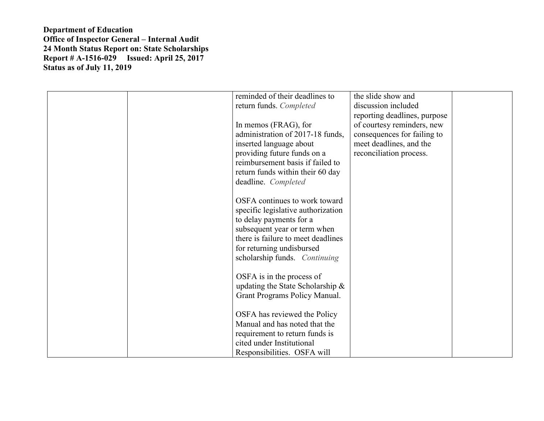| reminded of their deadlines to                                     | the slide show and           |
|--------------------------------------------------------------------|------------------------------|
| return funds. Completed                                            | discussion included          |
|                                                                    | reporting deadlines, purpose |
| In memos (FRAG), for                                               | of courtesy reminders, new   |
| administration of 2017-18 funds,                                   | consequences for failing to  |
| inserted language about                                            | meet deadlines, and the      |
| providing future funds on a                                        | reconciliation process.      |
| reimbursement basis if failed to                                   |                              |
| return funds within their 60 day                                   |                              |
| deadline. Completed                                                |                              |
|                                                                    |                              |
| OSFA continues to work toward                                      |                              |
| specific legislative authorization                                 |                              |
| to delay payments for a                                            |                              |
| subsequent year or term when<br>there is failure to meet deadlines |                              |
| for returning undisbursed                                          |                              |
| scholarship funds. Continuing                                      |                              |
|                                                                    |                              |
| OSFA is in the process of                                          |                              |
| updating the State Scholarship $\&$                                |                              |
| Grant Programs Policy Manual.                                      |                              |
|                                                                    |                              |
| OSFA has reviewed the Policy                                       |                              |
| Manual and has noted that the                                      |                              |
| requirement to return funds is                                     |                              |
| cited under Institutional                                          |                              |
| Responsibilities. OSFA will                                        |                              |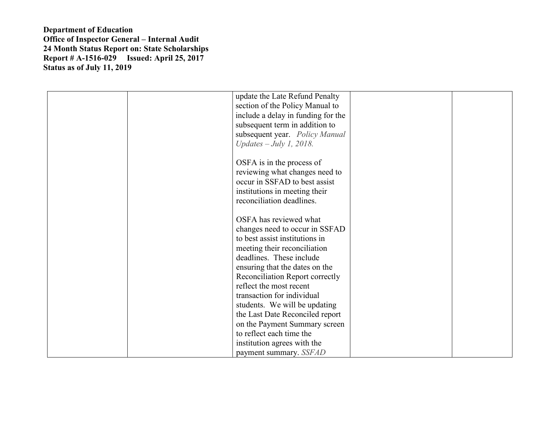| update the Late Refund Penalty     |
|------------------------------------|
| section of the Policy Manual to    |
| include a delay in funding for the |
| subsequent term in addition to     |
| subsequent year. Policy Manual     |
| Updates $-July 1, 2018.$           |
|                                    |
| OSFA is in the process of          |
| reviewing what changes need to     |
| occur in SSFAD to best assist      |
| institutions in meeting their      |
| reconciliation deadlines.          |
| OSFA has reviewed what             |
| changes need to occur in SSFAD     |
| to best assist institutions in     |
| meeting their reconciliation       |
| deadlines. These include           |
| ensuring that the dates on the     |
| Reconciliation Report correctly    |
| reflect the most recent            |
| transaction for individual         |
| students. We will be updating      |
| the Last Date Reconciled report    |
| on the Payment Summary screen      |
| to reflect each time the           |
| institution agrees with the        |
| payment summary. SSFAD             |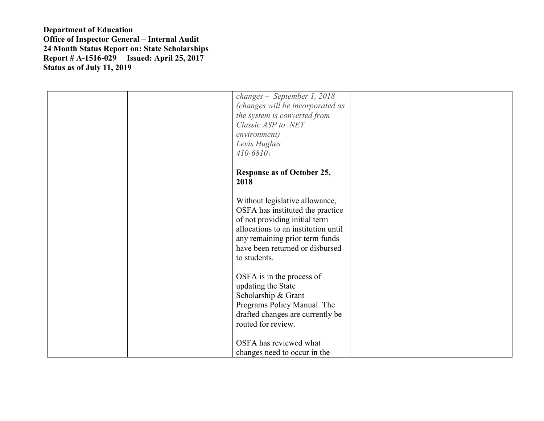|  | changes - September 1, 2018<br>(changes will be incorporated as<br>the system is converted from<br>Classic ASP to .NET<br>environment)<br>Levis Hughes                                        |  |
|--|-----------------------------------------------------------------------------------------------------------------------------------------------------------------------------------------------|--|
|  | $410 - 6810$<br><b>Response as of October 25,</b><br>2018<br>Without legislative allowance,                                                                                                   |  |
|  | OSFA has instituted the practice<br>of not providing initial term<br>allocations to an institution until<br>any remaining prior term funds<br>have been returned or disbursed<br>to students. |  |
|  | OSFA is in the process of<br>updating the State<br>Scholarship & Grant<br>Programs Policy Manual. The<br>drafted changes are currently be<br>routed for review.                               |  |
|  | OSFA has reviewed what<br>changes need to occur in the                                                                                                                                        |  |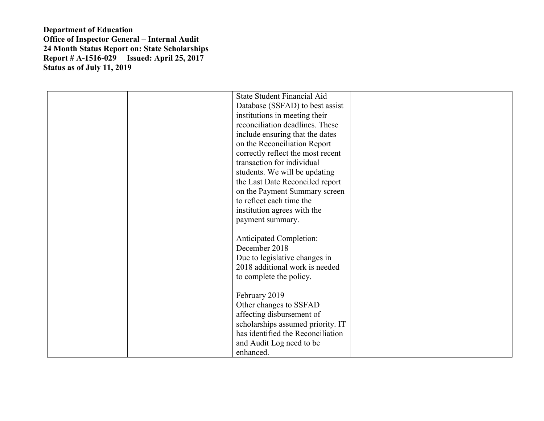|  | State Student Financial Aid       |  |
|--|-----------------------------------|--|
|  | Database (SSFAD) to best assist   |  |
|  | institutions in meeting their     |  |
|  | reconciliation deadlines. These   |  |
|  | include ensuring that the dates   |  |
|  | on the Reconciliation Report      |  |
|  | correctly reflect the most recent |  |
|  | transaction for individual        |  |
|  | students. We will be updating     |  |
|  | the Last Date Reconciled report   |  |
|  | on the Payment Summary screen     |  |
|  | to reflect each time the          |  |
|  | institution agrees with the       |  |
|  | payment summary.                  |  |
|  |                                   |  |
|  | <b>Anticipated Completion:</b>    |  |
|  | December 2018                     |  |
|  | Due to legislative changes in     |  |
|  | 2018 additional work is needed    |  |
|  | to complete the policy.           |  |
|  |                                   |  |
|  | February 2019                     |  |
|  |                                   |  |
|  | Other changes to SSFAD            |  |
|  | affecting disbursement of         |  |
|  | scholarships assumed priority. IT |  |
|  | has identified the Reconciliation |  |
|  | and Audit Log need to be          |  |
|  | enhanced.                         |  |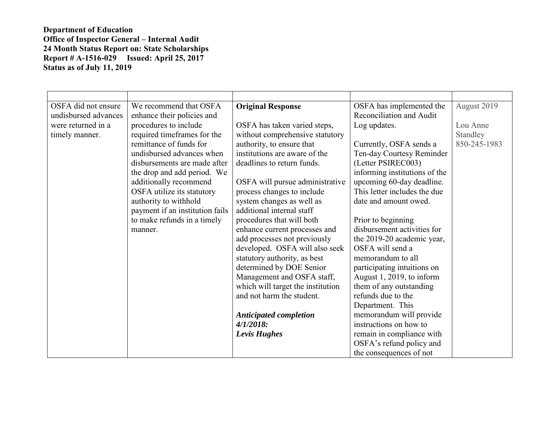| OSFA did not ensure  | We recommend that OSFA          | <b>Original Response</b>          | OSFA has implemented the      | August 2019  |
|----------------------|---------------------------------|-----------------------------------|-------------------------------|--------------|
| undisbursed advances | enhance their policies and      |                                   | Reconciliation and Audit      |              |
| were returned in a   | procedures to include           | OSFA has taken varied steps,      | Log updates.                  | Lou Anne     |
| timely manner.       | required timeframes for the     | without comprehensive statutory   |                               | Standley     |
|                      | remittance of funds for         | authority, to ensure that         | Currently, OSFA sends a       | 850-245-1983 |
|                      | undisbursed advances when       | institutions are aware of the     | Ten-day Courtesy Reminder     |              |
|                      | disbursements are made after    | deadlines to return funds.        | (Letter PSIREC003)            |              |
|                      | the drop and add period. We     |                                   | informing institutions of the |              |
|                      | additionally recommend          | OSFA will pursue administrative   | upcoming 60-day deadline.     |              |
|                      | OSFA utilize its statutory      | process changes to include        | This letter includes the due  |              |
|                      | authority to withhold           | system changes as well as         | date and amount owed.         |              |
|                      | payment if an institution fails | additional internal staff         |                               |              |
|                      | to make refunds in a timely     | procedures that will both         | Prior to beginning            |              |
|                      | manner.                         | enhance current processes and     | disbursement activities for   |              |
|                      |                                 | add processes not previously      | the 2019-20 academic year,    |              |
|                      |                                 | developed. OSFA will also seek    | OSFA will send a              |              |
|                      |                                 | statutory authority, as best      | memorandum to all             |              |
|                      |                                 | determined by DOE Senior          | participating intuitions on   |              |
|                      |                                 | Management and OSFA staff,        | August 1, 2019, to inform     |              |
|                      |                                 | which will target the institution | them of any outstanding       |              |
|                      |                                 | and not harm the student.         | refunds due to the            |              |
|                      |                                 |                                   | Department. This              |              |
|                      |                                 | <b>Anticipated completion</b>     | memorandum will provide       |              |
|                      |                                 | $4/1/2018$ :                      | instructions on how to        |              |
|                      |                                 | Levis Hughes                      | remain in compliance with     |              |
|                      |                                 |                                   | OSFA's refund policy and      |              |
|                      |                                 |                                   | the consequences of not       |              |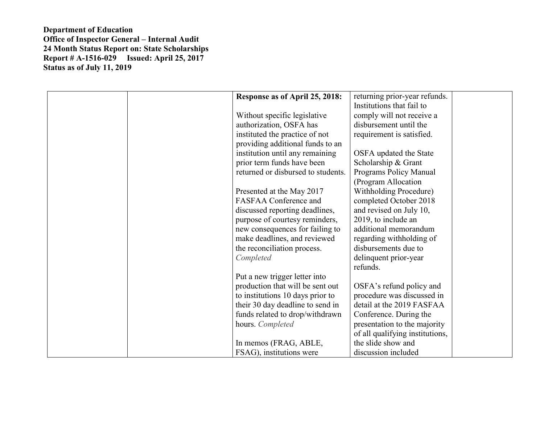| Response as of April 25, 2018:     | returning prior-year refunds.   |
|------------------------------------|---------------------------------|
|                                    | Institutions that fail to       |
| Without specific legislative       | comply will not receive a       |
| authorization, OSFA has            | disbursement until the          |
| instituted the practice of not     | requirement is satisfied.       |
| providing additional funds to an   |                                 |
| institution until any remaining    | OSFA updated the State          |
| prior term funds have been         | Scholarship & Grant             |
| returned or disbursed to students. | Programs Policy Manual          |
|                                    | (Program Allocation             |
| Presented at the May 2017          | <b>Withholding Procedure)</b>   |
| FASFAA Conference and              | completed October 2018          |
| discussed reporting deadlines,     | and revised on July 10,         |
| purpose of courtesy reminders,     | 2019, to include an             |
| new consequences for failing to    | additional memorandum           |
| make deadlines, and reviewed       | regarding withholding of        |
| the reconciliation process.        | disbursements due to            |
| Completed                          | delinquent prior-year           |
|                                    | refunds.                        |
| Put a new trigger letter into      |                                 |
| production that will be sent out   | OSFA's refund policy and        |
| to institutions 10 days prior to   | procedure was discussed in      |
| their 30 day deadline to send in   | detail at the 2019 FASFAA       |
| funds related to drop/withdrawn    | Conference. During the          |
| hours. Completed                   | presentation to the majority    |
|                                    | of all qualifying institutions, |
| In memos (FRAG, ABLE,              | the slide show and              |
| FSAG), institutions were           | discussion included             |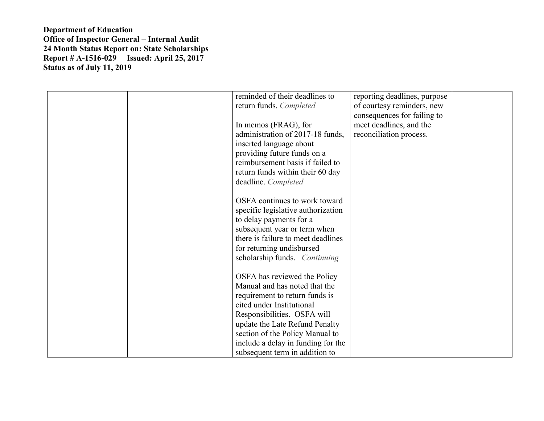|  | reminded of their deadlines to                                  | reporting deadlines, purpose |  |
|--|-----------------------------------------------------------------|------------------------------|--|
|  | return funds. Completed                                         | of courtesy reminders, new   |  |
|  |                                                                 | consequences for failing to  |  |
|  | In memos (FRAG), for                                            | meet deadlines, and the      |  |
|  | administration of 2017-18 funds,                                | reconciliation process.      |  |
|  | inserted language about                                         |                              |  |
|  | providing future funds on a<br>reimbursement basis if failed to |                              |  |
|  | return funds within their 60 day                                |                              |  |
|  | deadline. Completed                                             |                              |  |
|  |                                                                 |                              |  |
|  | OSFA continues to work toward                                   |                              |  |
|  | specific legislative authorization                              |                              |  |
|  | to delay payments for a                                         |                              |  |
|  | subsequent year or term when                                    |                              |  |
|  | there is failure to meet deadlines                              |                              |  |
|  | for returning undisbursed                                       |                              |  |
|  | scholarship funds. Continuing                                   |                              |  |
|  |                                                                 |                              |  |
|  | OSFA has reviewed the Policy                                    |                              |  |
|  | Manual and has noted that the                                   |                              |  |
|  | requirement to return funds is                                  |                              |  |
|  | cited under Institutional                                       |                              |  |
|  | Responsibilities. OSFA will                                     |                              |  |
|  | update the Late Refund Penalty                                  |                              |  |
|  | section of the Policy Manual to                                 |                              |  |
|  | include a delay in funding for the                              |                              |  |
|  | subsequent term in addition to                                  |                              |  |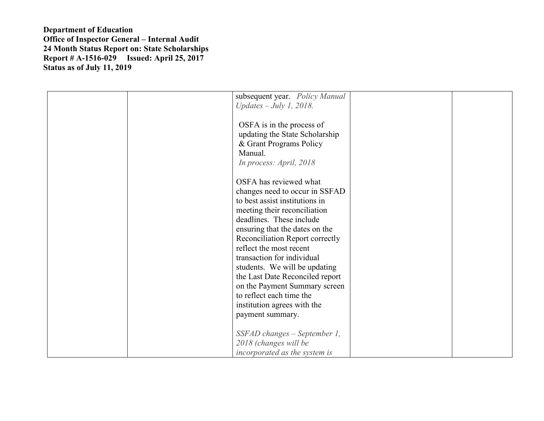| subsequent year. Policy Manual<br>Updates $-July 1, 2018.$<br>OSFA is in the process of<br>updating the State Scholarship<br>& Grant Programs Policy<br>Manual.<br>In process: April, 2018                                                                                                                                                                                                                                                                               |  |
|--------------------------------------------------------------------------------------------------------------------------------------------------------------------------------------------------------------------------------------------------------------------------------------------------------------------------------------------------------------------------------------------------------------------------------------------------------------------------|--|
| OSFA has reviewed what<br>changes need to occur in SSFAD<br>to best assist institutions in<br>meeting their reconciliation<br>deadlines. These include<br>ensuring that the dates on the<br>Reconciliation Report correctly<br>reflect the most recent<br>transaction for individual<br>students. We will be updating<br>the Last Date Reconciled report<br>on the Payment Summary screen<br>to reflect each time the<br>institution agrees with the<br>payment summary. |  |
| SSFAD changes - September 1,<br>2018 (changes will be<br>incorporated as the system is                                                                                                                                                                                                                                                                                                                                                                                   |  |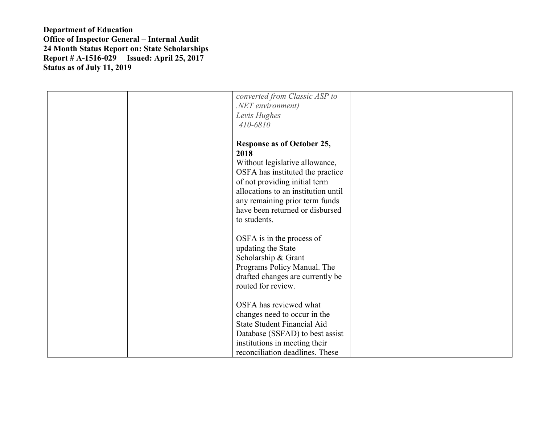|  | converted from Classic ASP to<br>.NET environment)<br>Levis Hughes<br>410-6810                                                                                                                                                                                               |  |
|--|------------------------------------------------------------------------------------------------------------------------------------------------------------------------------------------------------------------------------------------------------------------------------|--|
|  | <b>Response as of October 25,</b><br>2018<br>Without legislative allowance,<br>OSFA has instituted the practice<br>of not providing initial term<br>allocations to an institution until<br>any remaining prior term funds<br>have been returned or disbursed<br>to students. |  |
|  | OSFA is in the process of<br>updating the State<br>Scholarship & Grant<br>Programs Policy Manual. The<br>drafted changes are currently be<br>routed for review.                                                                                                              |  |
|  | OSFA has reviewed what<br>changes need to occur in the<br><b>State Student Financial Aid</b><br>Database (SSFAD) to best assist<br>institutions in meeting their<br>reconciliation deadlines. These                                                                          |  |